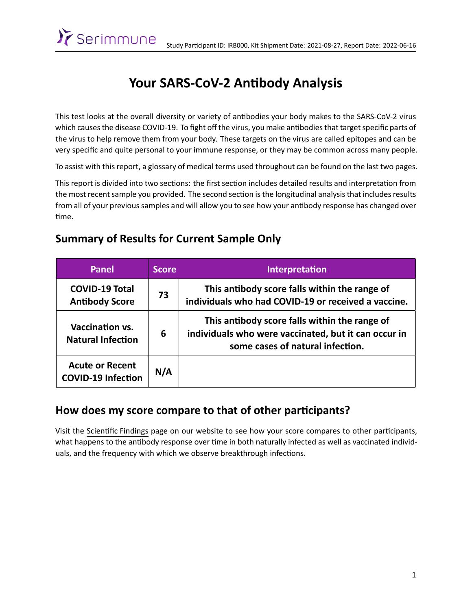

# Your SARS-CoV-2 Antibody Analysis

This test looks at the overall diversity or variety of antibodies your body makes to the SARS-CoV-2 virus which causes the disease COVID-19. To fight off the virus, you make antibodies that target specific parts of the virus to help remove them from your body. These targets on the virus are called epitopes and can be very specific and quite personal to your immune response, or they may be common across many people.

To assist with this report, a glossary of medical terms used throughout can be found on the last two pages.

This report is divided into two sections: the first section includes detailed results and interpretation from the most recent sample you provided. The second section is the longitudinal analysis that includes results from all of your previous samples and will allow you to see how your antibody response has changed over time.

#### **Summary of Results for Current Sample Only**

| Panel                                               | <b>Score</b> | <b>Interpretation</b>                                                                                                                     |
|-----------------------------------------------------|--------------|-------------------------------------------------------------------------------------------------------------------------------------------|
| <b>COVID-19 Total</b><br><b>Antibody Score</b>      | 73           | This antibody score falls within the range of<br>individuals who had COVID-19 or received a vaccine.                                      |
| <b>Vaccination vs.</b><br><b>Natural Infection</b>  | 6            | This antibody score falls within the range of<br>individuals who were vaccinated, but it can occur in<br>some cases of natural infection. |
| <b>Acute or Recent</b><br><b>COVID-19 Infection</b> | N/A          |                                                                                                                                           |

#### How does my score compare to that of other participants?

Visit the Scientific Findings page on our website to see how your score compares to other participants, what happens to the antibody response over time in both naturally infected as well as vaccinated individuals, and the frequency with which we observe breakthrough infections.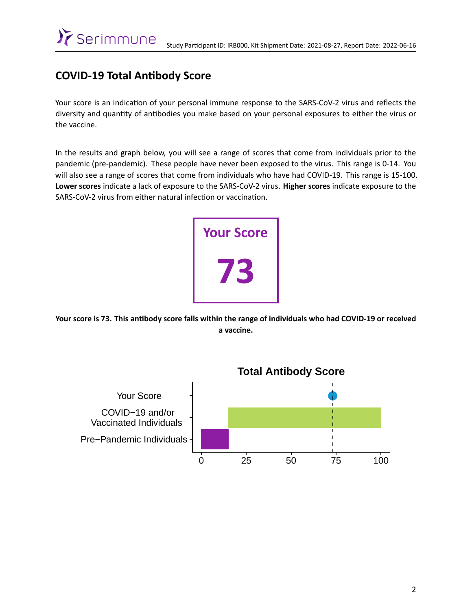#### **COVID-19 Total AnƟbody Score**

Your score is an indication of your personal immune response to the SARS-CoV-2 virus and reflects the diversity and quantity of antibodies you make based on your personal exposures to either the virus or the vaccine.

In the results and graph below, you will see a range of scores that come from individuals prior to the pandemic (pre-pandemic). These people have never been exposed to the virus. This range is 0-14. You will also see a range of scores that come from individuals who have had COVID-19. This range is 15-100. **Lower scores** indicate a lack of exposure to the SARS-CoV-2 virus. **Higher scores** indicate exposure to the SARS-CoV-2 virus from either natural infection or vaccination.



Your score is 73. This antibody score falls within the range of individuals who had COVID-19 or received **a vaccine.**

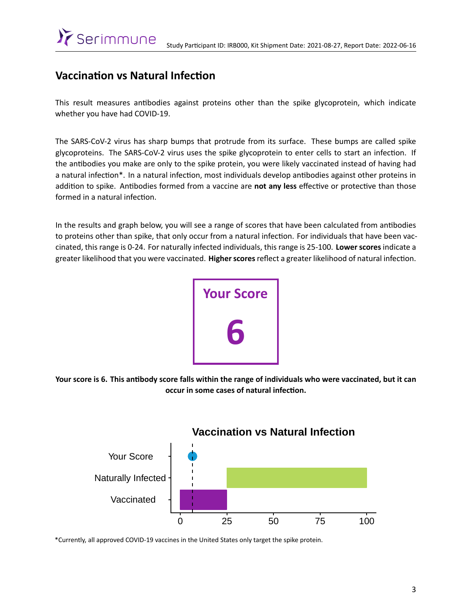#### **Vaccination vs Natural Infection**

This result measures antibodies against proteins other than the spike glycoprotein, which indicate whether you have had COVID-19.

The SARS-CoV-2 virus has sharp bumps that protrude from its surface. These bumps are called spike glycoproteins. The SARS-CoV-2 virus uses the spike glycoprotein to enter cells to start an infection. If the anƟbodies you make are only to the spike protein, you were likely vaccinated instead of having had a natural infection\*. In a natural infection, most individuals develop antibodies against other proteins in addition to spike. Antibodies formed from a vaccine are not any less effective or protective than those formed in a natural infection.

In the results and graph below, you will see a range of scores that have been calculated from antibodies to proteins other than spike, that only occur from a natural infection. For individuals that have been vaccinated, this range is 0-24. For naturally infected individuals, this range is 25-100. **Lower scores** indicate a greater likelihood that you were vaccinated. Higher scores reflect a greater likelihood of natural infection.



Your score is 6. This antibody score falls within the range of individuals who were vaccinated, but it can **occur in some cases of natural infection.** 



\*Currently, all approved COVID-19 vaccines in the United States only target the spike protein.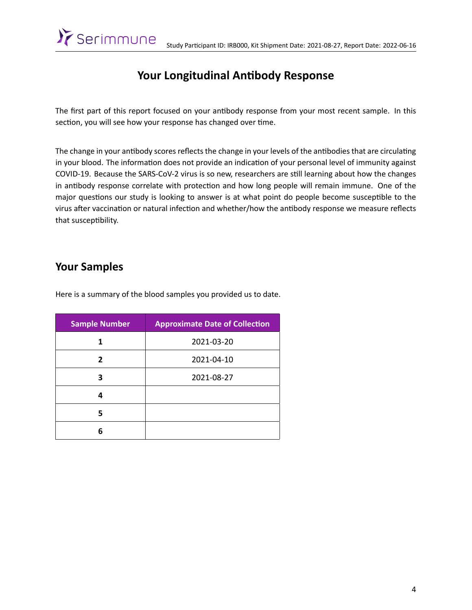### Your Longitudinal Antibody Response

The first part of this report focused on your antibody response from your most recent sample. In this section, you will see how your response has changed over time.

The change in your antibody scores reflects the change in your levels of the antibodies that are circulating in your blood. The information does not provide an indication of your personal level of immunity against COVID-19. Because the SARS-CoV-2 virus is so new, researchers are still learning about how the changes in antibody response correlate with protection and how long people will remain immune. One of the major questions our study is looking to answer is at what point do people become susceptible to the virus after vaccination or natural infection and whether/how the antibody response we measure reflects that susceptibility.

#### **Your Samples**

Serimmune

Here is a summary of the blood samples you provided us to date.

| <b>Sample Number</b> | <b>Approximate Date of Collection</b> |
|----------------------|---------------------------------------|
| 1                    | 2021-03-20                            |
| 2                    | 2021-04-10                            |
| 3                    | 2021-08-27                            |
| 4                    |                                       |
| 5                    |                                       |
| 6                    |                                       |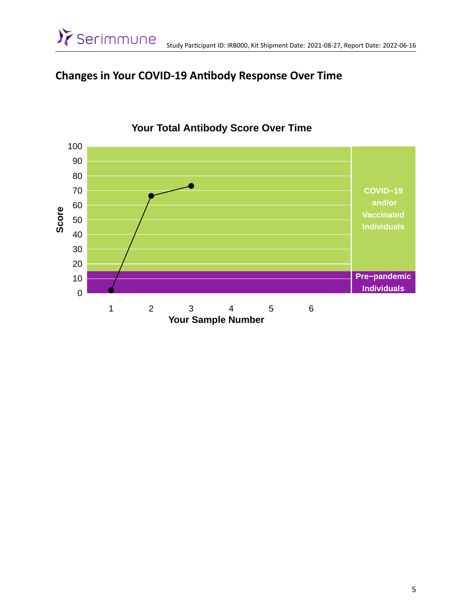#### **Changes in Your COVID-19 AnƟbody Response Over Time**



# **Your Total Antibody Score Over Time**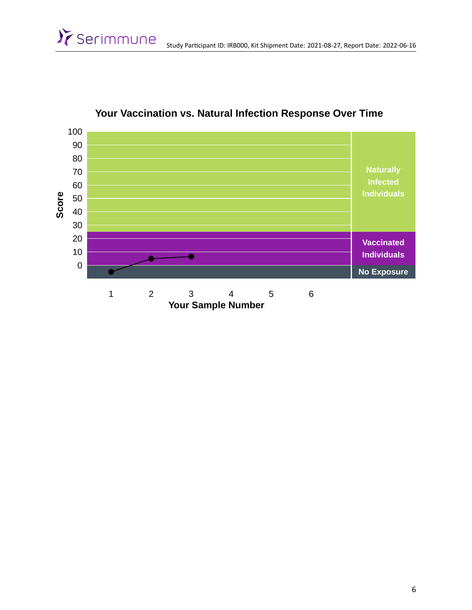

#### **Your Vaccination vs. Natural Infection Response Over Time**

>>Serimmune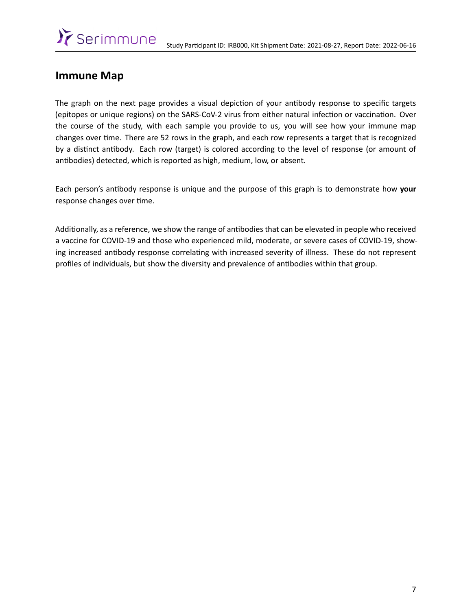#### **Immune Map**

The graph on the next page provides a visual depiction of your antibody response to specific targets (epitopes or unique regions) on the SARS-CoV-2 virus from either natural infection or vaccination. Over the course of the study, with each sample you provide to us, you will see how your immune map changes over time. There are 52 rows in the graph, and each row represents a target that is recognized by a distinct antibody. Each row (target) is colored according to the level of response (or amount of antibodies) detected, which is reported as high, medium, low, or absent.

Each person's anƟbody response is unique and the purpose of this graph is to demonstrate how **your** response changes over time.

Additionally, as a reference, we show the range of antibodies that can be elevated in people who received a vaccine for COVID-19 and those who experienced mild, moderate, or severe cases of COVID-19, showing increased antibody response correlating with increased severity of illness. These do not represent profiles of individuals, but show the diversity and prevalence of antibodies within that group.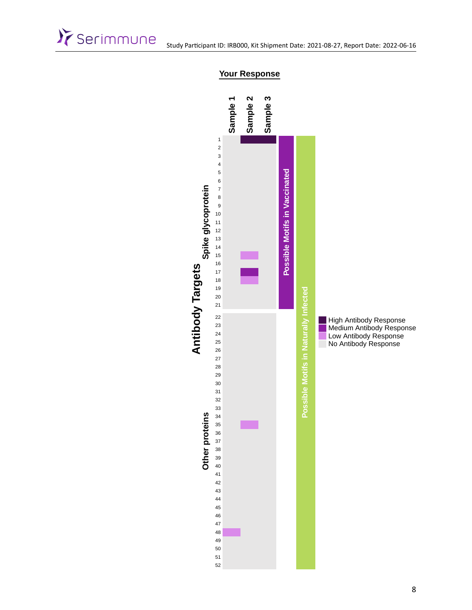



#### **Your Response**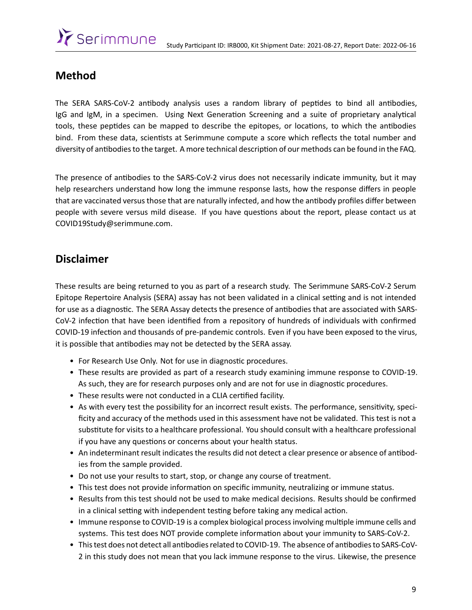# >>Serimmune

#### **Method**

The SERA SARS-CoV-2 antibody analysis uses a random library of peptides to bind all antibodies, IgG and IgM, in a specimen. Using Next Generation Screening and a suite of proprietary analytical tools, these peptides can be mapped to describe the epitopes, or locations, to which the antibodies bind. From these data, scientists at Serimmune compute a score which reflects the total number and diversity of antibodies to the target. A more technical description of our methods can be found in the FAQ.

The presence of antibodies to the SARS-CoV-2 virus does not necessarily indicate immunity, but it may help researchers understand how long the immune response lasts, how the response differs in people that are vaccinated versus those that are naturally infected, and how the antibody profiles differ between people with severe versus mild disease. If you have questions about the report, please contact us at [COVID19Study@serimmune.com](mailto:COVID19Study@serimmune.com).

#### **Disclaimer**

These results are being returned to you as part of a research study. The Serimmune SARS-CoV-2 Serum Epitope Repertoire Analysis (SERA) assay has not been validated in a clinical setting and is not intended for use as a diagnostic. The SERA Assay detects the presence of antibodies that are associated with SARS-CoV-2 infection that have been identified from a repository of hundreds of individuals with confirmed COVID-19 infection and thousands of pre-pandemic controls. Even if you have been exposed to the virus, it is possible that antibodies may not be detected by the SERA assay.

- For Research Use Only. Not for use in diagnostic procedures.
- These results are provided as part of a research study examining immune response to COVID-19. As such, they are for research purposes only and are not for use in diagnostic procedures.
- These results were not conducted in a CLIA certified facility.
- As with every test the possibility for an incorrect result exists. The performance, sensitivity, specificity and accuracy of the methods used in this assessment have not be validated. This test is not a substitute for visits to a healthcare professional. You should consult with a healthcare professional if you have any questions or concerns about your health status.
- An indeterminant result indicates the results did not detect a clear presence or absence of antibodies from the sample provided.
- Do not use your results to start, stop, or change any course of treatment.
- This test does not provide information on specific immunity, neutralizing or immune status.
- Results from this test should not be used to make medical decisions. Results should be confirmed in a clinical setting with independent testing before taking any medical action.
- Immune response to COVID-19 is a complex biological process involving multiple immune cells and systems. This test does NOT provide complete information about your immunity to SARS-CoV-2.
- This test does not detect all antibodies related to COVID-19. The absence of antibodies to SARS-CoV-2 in this study does not mean that you lack immune response to the virus. Likewise, the presence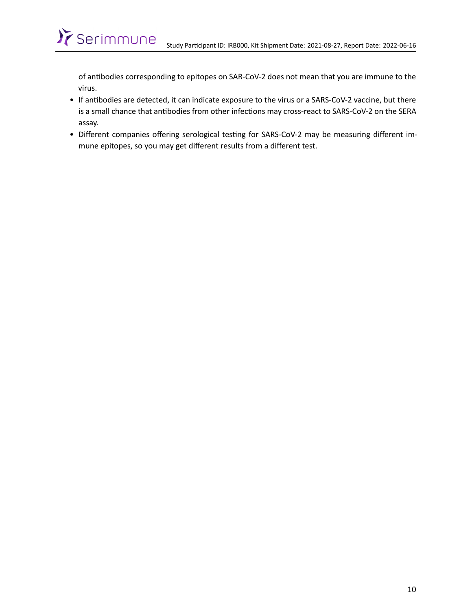of antibodies corresponding to epitopes on SAR-CoV-2 does not mean that you are immune to the virus.

>>Serimmune

- If antibodies are detected, it can indicate exposure to the virus or a SARS-CoV-2 vaccine, but there is a small chance that antibodies from other infections may cross-react to SARS-CoV-2 on the SERA assay.
- Different companies offering serological testing for SARS-CoV-2 may be measuring different immune epitopes, so you may get different results from a different test.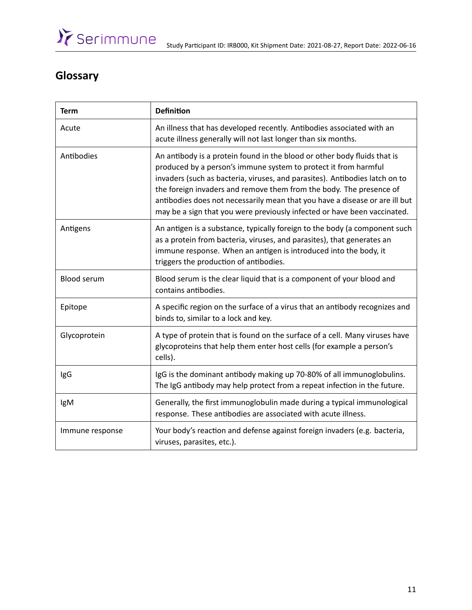# **Glossary**

| <b>Term</b>        | <b>Definition</b>                                                                                                                                                                                                                                                                                                                                                                                                                                            |
|--------------------|--------------------------------------------------------------------------------------------------------------------------------------------------------------------------------------------------------------------------------------------------------------------------------------------------------------------------------------------------------------------------------------------------------------------------------------------------------------|
| Acute              | An illness that has developed recently. Antibodies associated with an<br>acute illness generally will not last longer than six months.                                                                                                                                                                                                                                                                                                                       |
| Antibodies         | An antibody is a protein found in the blood or other body fluids that is<br>produced by a person's immune system to protect it from harmful<br>invaders (such as bacteria, viruses, and parasites). Antibodies latch on to<br>the foreign invaders and remove them from the body. The presence of<br>antibodies does not necessarily mean that you have a disease or are ill but<br>may be a sign that you were previously infected or have been vaccinated. |
| Antigens           | An antigen is a substance, typically foreign to the body (a component such<br>as a protein from bacteria, viruses, and parasites), that generates an<br>immune response. When an antigen is introduced into the body, it<br>triggers the production of antibodies.                                                                                                                                                                                           |
| <b>Blood serum</b> | Blood serum is the clear liquid that is a component of your blood and<br>contains antibodies.                                                                                                                                                                                                                                                                                                                                                                |
| Epitope            | A specific region on the surface of a virus that an antibody recognizes and<br>binds to, similar to a lock and key.                                                                                                                                                                                                                                                                                                                                          |
| Glycoprotein       | A type of protein that is found on the surface of a cell. Many viruses have<br>glycoproteins that help them enter host cells (for example a person's<br>cells).                                                                                                                                                                                                                                                                                              |
| IgG                | IgG is the dominant antibody making up 70-80% of all immunoglobulins.<br>The IgG antibody may help protect from a repeat infection in the future.                                                                                                                                                                                                                                                                                                            |
| IgM                | Generally, the first immunoglobulin made during a typical immunological<br>response. These antibodies are associated with acute illness.                                                                                                                                                                                                                                                                                                                     |
| Immune response    | Your body's reaction and defense against foreign invaders (e.g. bacteria,<br>viruses, parasites, etc.).                                                                                                                                                                                                                                                                                                                                                      |